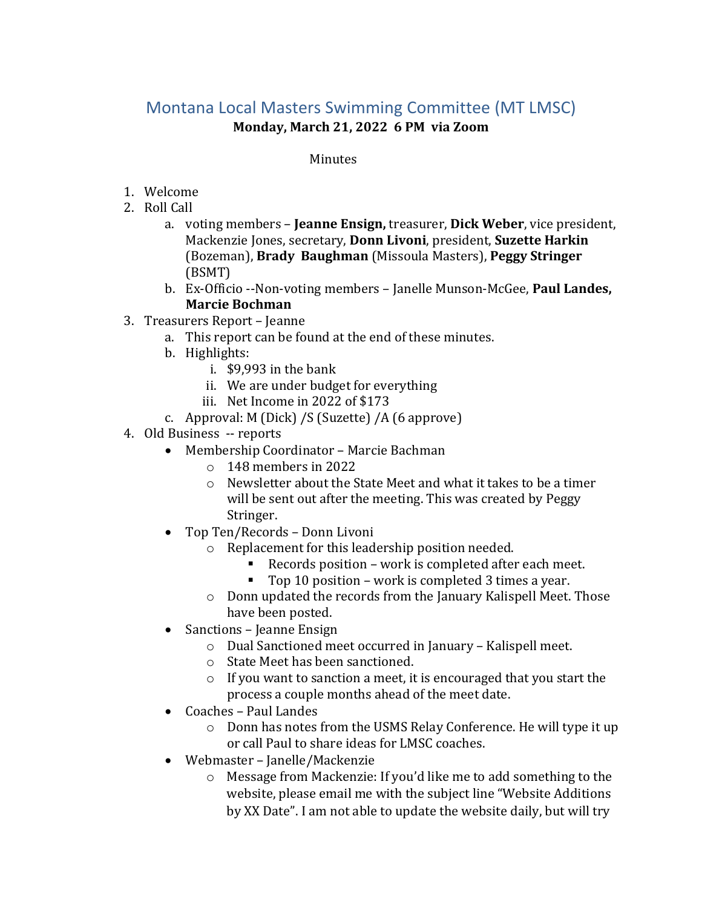### Montana Local Masters Swimming Committee (MT LMSC) **Monday, March 21, 2022 6 PM via Zoom**

### Minutes

- 1. Welcome
- 2. Roll Call
	- Mackenzie Jones, secretary, **Donn Livoni**, president, **Suzette Harkin**  a. voting members – **Jeanne Ensign,** treasurer, **Dick Weber**, vice president, (Bozeman), **Brady Baughman** (Missoula Masters), **Peggy Stringer**  (BSMT)
	- b. Ex-Officio --Non-voting members Janelle Munson-McGee, **Paul Landes, Marcie Bochman**
- 3. Treasurers Report Jeanne
	- a. This report can be found at the end of these minutes.
	- b. Highlights:
		- i. \$9,993 in the bank
		- ii. We are under budget for everything
		- iii. Net Income in 2022 of \$173
	- c. Approval: M (Dick) /S (Suzette) /A (6 approve)
- 4. Old Business -- reports
	- • Membership Coordinator Marcie Bachman
		- o 148 members in 2022
		- o Newsletter about the State Meet and what it takes to be a timer will be sent out after the meeting. This was created by Peggy Stringer.
	- Top Ten/Records Donn Livoni
		- o Replacement for this leadership position needed.
			- Records position work is completed after each meet.
			- Top 10 position work is completed 3 times a year.
		- o Donn updated the records from the January Kalispell Meet. Those have been posted.
	- Sanctions Jeanne Ensign
		- o Dual Sanctioned meet occurred in January Kalispell meet.
		- o State Meet has been sanctioned.
		- o If you want to sanction a meet, it is encouraged that you start the process a couple months ahead of the meet date.
	- Coaches Paul Landes
		- o Donn has notes from the USMS Relay Conference. He will type it up or call Paul to share ideas for LMSC coaches.
	- Webmaster Janelle/Mackenzie
		- o Message from Mackenzie: If you'd like me to add something to the website, please email me with the subject line "Website Additions by XX Date". I am not able to update the website daily, but will try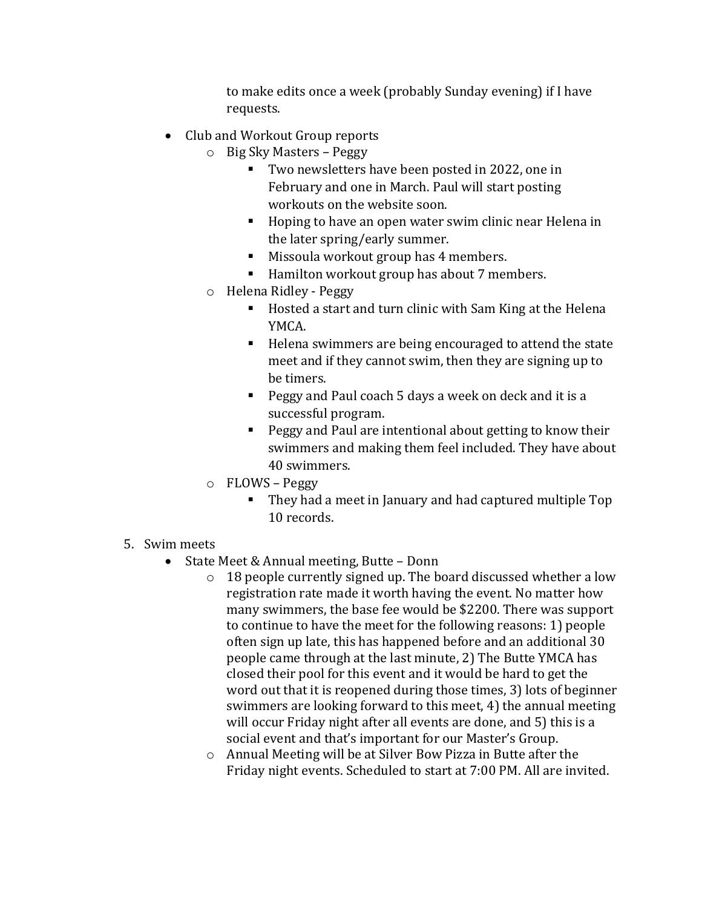to make edits once a week (probably Sunday evening) if I have requests.

- Club and Workout Group reports
	- o Big Sky Masters Peggy
		- **Two newsletters have been posted in 2022, one in** February and one in March. Paul will start posting workouts on the website soon.
		- Hoping to have an open water swim clinic near Helena in the later spring/early summer.
		- Missoula workout group has 4 members.
		- Hamilton workout group has about 7 members.
	- o Helena Ridley Peggy
		- Hosted a start and turn clinic with Sam King at the Helena YMCA.
		- Helena swimmers are being encouraged to attend the state meet and if they cannot swim, then they are signing up to be timers.
		- **Peggy and Paul coach 5 days a week on deck and it is a** successful program.
		- **Peggy and Paul are intentional about getting to know their** swimmers and making them feel included. They have about 40 swimmers.
	- o FLOWS Peggy
		- They had a meet in January and had captured multiple Top 10 records.
- 5. Swim meets
- 5. Swim meets State Meet & Annual meeting, Butte Donn
	- $\circ$  18 people currently signed up. The board discussed whether a low registration rate made it worth having the event. No matter how many swimmers, the base fee would be \$2200. There was support to continue to have the meet for the following reasons: 1) people often sign up late, this has happened before and an additional 30 people came through at the last minute, 2) The Butte YMCA has closed their pool for this event and it would be hard to get the word out that it is reopened during those times, 3) lots of beginner swimmers are looking forward to this meet, 4) the annual meeting will occur Friday night after all events are done, and 5) this is a social event and that's important for our Master's Group.
	- o Annual Meeting will be at Silver Bow Pizza in Butte after the Friday night events. Scheduled to start at 7:00 PM. All are invited.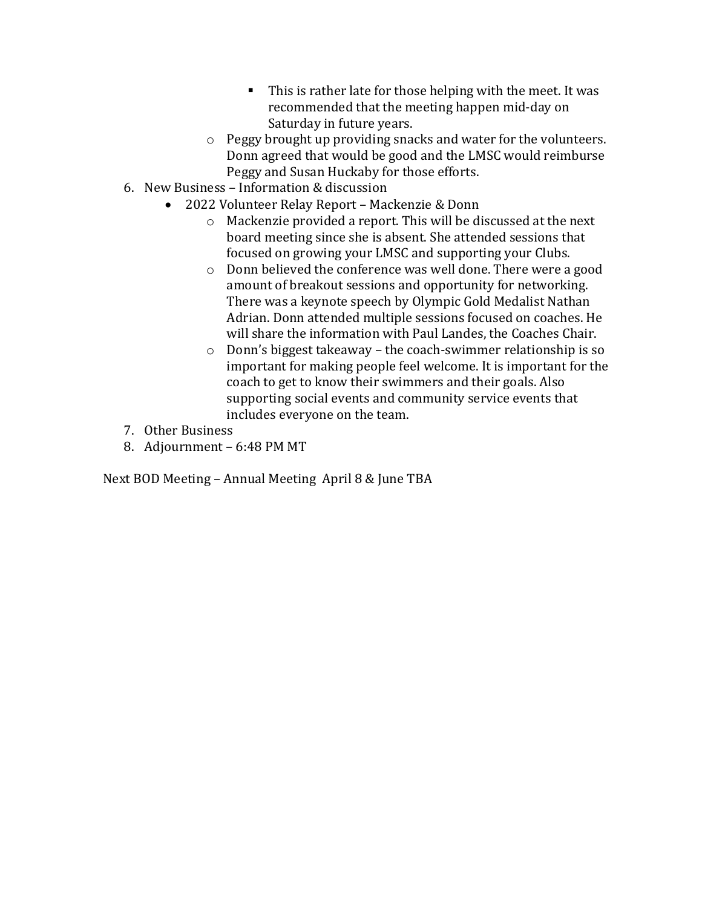- $\blacksquare$  This is rather late for those helping with the meet. It was recommended that the meeting happen mid-day on Saturday in future years.
- Donn agreed that would be good and the LMSC would reimburse o Peggy brought up providing snacks and water for the volunteers. Peggy and Susan Huckaby for those efforts.
- 6. New Business Information & discussion
	- 2022 Volunteer Relay Report Mackenzie & Donn
		- o Mackenzie provided a report. This will be discussed at the next board meeting since she is absent. She attended sessions that focused on growing your LMSC and supporting your Clubs.
		- o Donn believed the conference was well done. There were a good amount of breakout sessions and opportunity for networking. There was a keynote speech by Olympic Gold Medalist Nathan Adrian. Donn attended multiple sessions focused on coaches. He will share the information with Paul Landes, the Coaches Chair.
		- o Donn's biggest takeaway the coach-swimmer relationship is so important for making people feel welcome. It is important for the coach to get to know their swimmers and their goals. Also supporting social events and community service events that includes everyone on the team.
- 7. Other Business
- 8. Adjournment 6:48 PM MT

Next BOD Meeting – Annual Meeting April 8 & June TBA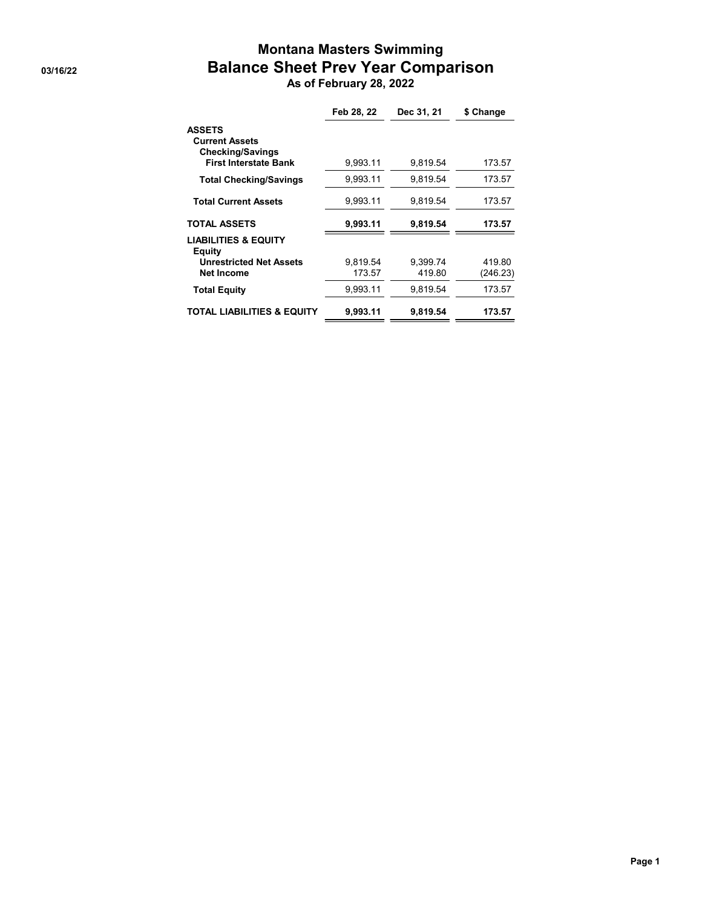## **Montana Masters Swimming Balance Sheet Prev Year Comparison**<br>As of February 28, 2022

| Feb 28, 22 | Dec 31, 21 | \$ Change |
|------------|------------|-----------|
|            |            |           |
| 9.993.11   | 9,819.54   | 173.57    |
| 9.993.11   | 9.819.54   | 173.57    |
| 9,993.11   | 9.819.54   | 173.57    |
| 9.993.11   | 9,819.54   | 173.57    |
|            |            |           |
| 9.819.54   | 9.399.74   | 419.80    |
| 173.57     | 419.80     | (246.23)  |
| 9,993.11   | 9,819.54   | 173.57    |
| 9.993.11   | 9.819.54   | 173.57    |
|            |            |           |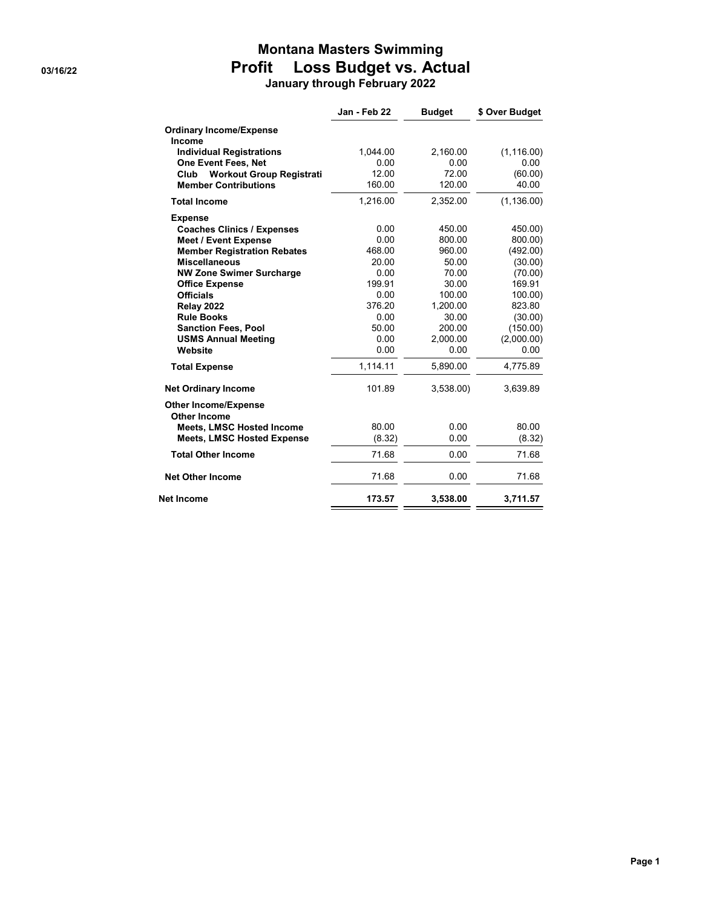### **Montana Masters Swimming Profit** Loss Budget vs. Actual<br>January through February 2022

|  |  | anuary through February 2022 |  |
|--|--|------------------------------|--|
|--|--|------------------------------|--|

| Jan - Feb 22 | <b>Budget</b>                                                                                                                                          | \$ Over Budget                                                                                                                                                  |
|--------------|--------------------------------------------------------------------------------------------------------------------------------------------------------|-----------------------------------------------------------------------------------------------------------------------------------------------------------------|
|              |                                                                                                                                                        |                                                                                                                                                                 |
|              |                                                                                                                                                        |                                                                                                                                                                 |
|              |                                                                                                                                                        | (1, 116.00)                                                                                                                                                     |
|              |                                                                                                                                                        | 0.00                                                                                                                                                            |
|              |                                                                                                                                                        | (60.00)                                                                                                                                                         |
|              |                                                                                                                                                        | 40.00                                                                                                                                                           |
| 1.216.00     | 2,352.00                                                                                                                                               | (1, 136.00)                                                                                                                                                     |
|              |                                                                                                                                                        |                                                                                                                                                                 |
| 0.00         | 450.00                                                                                                                                                 | 450.00)                                                                                                                                                         |
|              |                                                                                                                                                        | 800.00)                                                                                                                                                         |
|              |                                                                                                                                                        | (492.00)                                                                                                                                                        |
|              |                                                                                                                                                        | (30.00)                                                                                                                                                         |
|              |                                                                                                                                                        | (70.00)                                                                                                                                                         |
|              |                                                                                                                                                        | 169.91                                                                                                                                                          |
|              |                                                                                                                                                        | 100.00                                                                                                                                                          |
|              |                                                                                                                                                        | 823.80                                                                                                                                                          |
|              |                                                                                                                                                        | (30.00)                                                                                                                                                         |
|              |                                                                                                                                                        | (150.00)                                                                                                                                                        |
|              |                                                                                                                                                        | (2,000.00)                                                                                                                                                      |
|              |                                                                                                                                                        | 0.00                                                                                                                                                            |
| 1,114.11     | 5,890.00                                                                                                                                               | 4,775.89                                                                                                                                                        |
| 101.89       | 3,538.00                                                                                                                                               | 3,639.89                                                                                                                                                        |
|              |                                                                                                                                                        |                                                                                                                                                                 |
|              |                                                                                                                                                        |                                                                                                                                                                 |
|              |                                                                                                                                                        | 80.00                                                                                                                                                           |
|              |                                                                                                                                                        | (8.32)                                                                                                                                                          |
| 71.68        | 0.00                                                                                                                                                   | 71.68                                                                                                                                                           |
| 71.68        | 0.00                                                                                                                                                   | 71.68                                                                                                                                                           |
| 173.57       | 3,538.00                                                                                                                                               | 3,711.57                                                                                                                                                        |
|              | 1,044.00<br>0.00<br>12.00<br>160.00<br>0.00<br>468.00<br>20.00<br>0.00<br>199.91<br>0.00<br>376.20<br>0.00<br>50.00<br>0.00<br>0.00<br>80.00<br>(8.32) | 2,160.00<br>0.00<br>72.00<br>120.00<br>800.00<br>960.00<br>50.00<br>70.00<br>30.00<br>100.00<br>1,200.00<br>30.00<br>200.00<br>2,000.00<br>0.00<br>0.00<br>0.00 |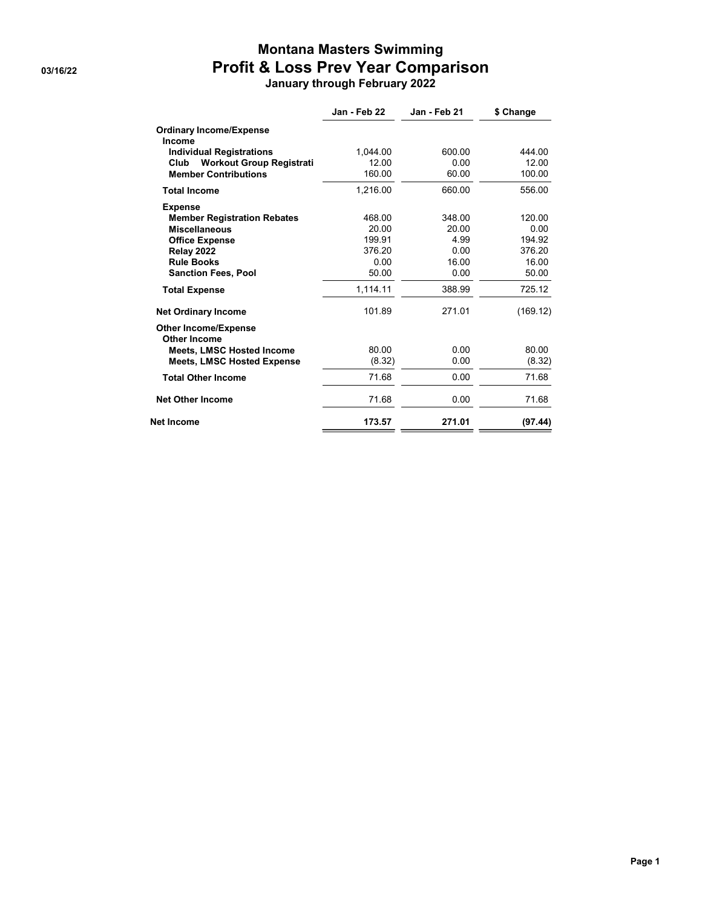### **Montana Masters Swimming Profit & Loss Prev Year Comparison**<br>January through February 2022

|  |  | anuary through February 202 |  |
|--|--|-----------------------------|--|
|--|--|-----------------------------|--|

|                                                    | Jan - Feb 22 | Jan - Feb 21 | \$ Change |
|----------------------------------------------------|--------------|--------------|-----------|
| <b>Ordinary Income/Expense</b><br>Income           |              |              |           |
| <b>Individual Registrations</b>                    | 1,044.00     | 600.00       | 444.00    |
| <b>Workout Group Registrati</b><br>Club            | 12.00        | 0.00         | 12.00     |
| <b>Member Contributions</b>                        | 160.00       | 60.00        | 100.00    |
| <b>Total Income</b>                                | 1.216.00     | 660.00       | 556.00    |
| <b>Expense</b>                                     |              |              |           |
| <b>Member Registration Rebates</b>                 | 468.00       | 348.00       | 120.00    |
| <b>Miscellaneous</b>                               | 20.00        | 20.00        | 0.00      |
| <b>Office Expense</b>                              | 199.91       | 4.99         | 194.92    |
| <b>Relay 2022</b>                                  | 376.20       | 0.00         | 376.20    |
| <b>Rule Books</b>                                  | 0.00         | 16.00        | 16.00     |
| <b>Sanction Fees, Pool</b>                         | 50.00        | 0.00         | 50.00     |
| <b>Total Expense</b>                               | 1,114.11     | 388.99       | 725.12    |
| <b>Net Ordinary Income</b>                         | 101.89       | 271.01       | (169.12)  |
| <b>Other Income/Expense</b><br><b>Other Income</b> |              |              |           |
| <b>Meets, LMSC Hosted Income</b>                   | 80.00        | 0.00         | 80.00     |
| <b>Meets, LMSC Hosted Expense</b>                  | (8.32)       | 0.00         | (8.32)    |
| <b>Total Other Income</b>                          | 71.68        | 0.00         | 71.68     |
| <b>Net Other Income</b>                            | 71.68        | 0.00         | 71.68     |
| <b>Net Income</b>                                  | 173.57       | 271.01       | (97.44)   |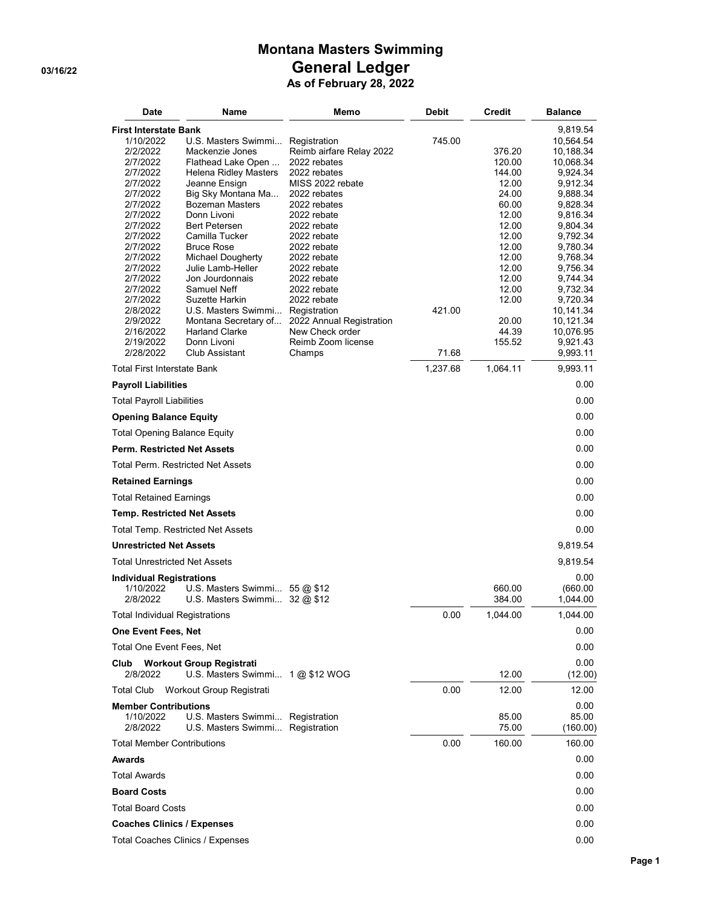# **Montana Masters Swimming** General Ledger<br>As of February 28, 2022

| <b>Date</b>                                                                                                                                                                   | Name                                                                                                                                                                                                                                                                                 | Memo                                                                                                                                                                                    | Debit           | <b>Credit</b>                                                                                      | <b>Balance</b>                                                                                                                                              |
|-------------------------------------------------------------------------------------------------------------------------------------------------------------------------------|--------------------------------------------------------------------------------------------------------------------------------------------------------------------------------------------------------------------------------------------------------------------------------------|-----------------------------------------------------------------------------------------------------------------------------------------------------------------------------------------|-----------------|----------------------------------------------------------------------------------------------------|-------------------------------------------------------------------------------------------------------------------------------------------------------------|
| <b>First Interstate Bank</b><br>1/10/2022<br>2/2/2022<br>2/7/2022<br>2/7/2022<br>2/7/2022<br>2/7/2022<br>2/7/2022<br>2/7/2022<br>2/7/2022<br>2/7/2022<br>2/7/2022<br>2/7/2022 | U.S. Masters Swimmi Registration<br>Mackenzie Jones<br>Flathead Lake Open<br><b>Helena Ridley Masters</b><br>Jeanne Ensign<br>Big Sky Montana Ma<br><b>Bozeman Masters</b><br>Donn Livoni<br><b>Bert Petersen</b><br>Camilla Tucker<br><b>Bruce Rose</b><br><b>Michael Dougherty</b> | Reimb airfare Relay 2022<br>2022 rebates<br>2022 rebates<br>MISS 2022 rebate<br>2022 rebates<br>2022 rebates<br>2022 rebate<br>2022 rebate<br>2022 rebate<br>2022 rebate<br>2022 rebate | 745.00          | 376.20<br>120.00<br>144.00<br>12.00<br>24.00<br>60.00<br>12.00<br>12.00<br>12.00<br>12.00<br>12.00 | 9,819.54<br>10,564.54<br>10,188.34<br>10,068.34<br>9,924.34<br>9,912.34<br>9,888.34<br>9,828.34<br>9,816.34<br>9,804.34<br>9,792.34<br>9,780.34<br>9,768.34 |
| 2/7/2022<br>2/7/2022<br>2/7/2022<br>2/7/2022<br>2/8/2022<br>2/9/2022<br>2/16/2022<br>2/19/2022<br>2/28/2022                                                                   | Julie Lamb-Heller<br>Jon Jourdonnais<br>Samuel Neff<br>Suzette Harkin<br>U.S. Masters Swimmi<br>Montana Secretary of<br><b>Harland Clarke</b><br>Donn Livoni<br>Club Assistant                                                                                                       | 2022 rebate<br>2022 rebate<br>2022 rebate<br>2022 rebate<br>Registration<br>2022 Annual Registration<br>New Check order<br>Reimb Zoom license<br>Champs                                 | 421.00<br>71.68 | 12.00<br>12.00<br>12.00<br>12.00<br>20.00<br>44.39<br>155.52                                       | 9,756.34<br>9,744.34<br>9,732.34<br>9,720.34<br>10,141.34<br>10,121.34<br>10,076.95<br>9,921.43<br>9,993.11                                                 |
| <b>Total First Interstate Bank</b>                                                                                                                                            |                                                                                                                                                                                                                                                                                      |                                                                                                                                                                                         | 1,237.68        | 1,064.11                                                                                           | 9,993.11                                                                                                                                                    |
| <b>Payroll Liabilities</b>                                                                                                                                                    |                                                                                                                                                                                                                                                                                      |                                                                                                                                                                                         |                 |                                                                                                    | 0.00                                                                                                                                                        |
| <b>Total Payroll Liabilities</b>                                                                                                                                              |                                                                                                                                                                                                                                                                                      |                                                                                                                                                                                         |                 |                                                                                                    | 0.00                                                                                                                                                        |
| <b>Opening Balance Equity</b>                                                                                                                                                 |                                                                                                                                                                                                                                                                                      |                                                                                                                                                                                         |                 |                                                                                                    | 0.00                                                                                                                                                        |
| <b>Total Opening Balance Equity</b>                                                                                                                                           |                                                                                                                                                                                                                                                                                      |                                                                                                                                                                                         |                 |                                                                                                    | 0.00                                                                                                                                                        |
| <b>Perm. Restricted Net Assets</b>                                                                                                                                            |                                                                                                                                                                                                                                                                                      |                                                                                                                                                                                         |                 |                                                                                                    | 0.00                                                                                                                                                        |
|                                                                                                                                                                               | <b>Total Perm. Restricted Net Assets</b>                                                                                                                                                                                                                                             |                                                                                                                                                                                         |                 |                                                                                                    | 0.00                                                                                                                                                        |
| <b>Retained Earnings</b>                                                                                                                                                      |                                                                                                                                                                                                                                                                                      |                                                                                                                                                                                         |                 |                                                                                                    | 0.00                                                                                                                                                        |
| <b>Total Retained Earnings</b>                                                                                                                                                |                                                                                                                                                                                                                                                                                      |                                                                                                                                                                                         |                 |                                                                                                    | 0.00                                                                                                                                                        |
| <b>Temp. Restricted Net Assets</b>                                                                                                                                            |                                                                                                                                                                                                                                                                                      |                                                                                                                                                                                         |                 |                                                                                                    | 0.00                                                                                                                                                        |
|                                                                                                                                                                               | <b>Total Temp. Restricted Net Assets</b>                                                                                                                                                                                                                                             |                                                                                                                                                                                         |                 |                                                                                                    | 0.00                                                                                                                                                        |
| <b>Unrestricted Net Assets</b>                                                                                                                                                |                                                                                                                                                                                                                                                                                      |                                                                                                                                                                                         |                 |                                                                                                    | 9,819.54                                                                                                                                                    |
| <b>Total Unrestricted Net Assets</b>                                                                                                                                          |                                                                                                                                                                                                                                                                                      |                                                                                                                                                                                         |                 |                                                                                                    | 9,819.54                                                                                                                                                    |
| <b>Individual Registrations</b><br>1/10/2022<br>2/8/2022                                                                                                                      | U.S. Masters Swimmi $55@$12$<br>U.S. Masters Swimmi $32 \text{ @ } $12$                                                                                                                                                                                                              |                                                                                                                                                                                         |                 | 660.00<br>384.00                                                                                   | 0.00<br>(660.00)<br>1,044.00                                                                                                                                |
| <b>Total Individual Registrations</b>                                                                                                                                         |                                                                                                                                                                                                                                                                                      |                                                                                                                                                                                         | 0.00            | 1,044.00                                                                                           | 1.044.00                                                                                                                                                    |
| <b>One Event Fees, Net</b>                                                                                                                                                    |                                                                                                                                                                                                                                                                                      |                                                                                                                                                                                         |                 |                                                                                                    | 0.00                                                                                                                                                        |
| <b>Total One Event Fees, Net</b>                                                                                                                                              |                                                                                                                                                                                                                                                                                      |                                                                                                                                                                                         |                 |                                                                                                    | 0.00                                                                                                                                                        |
| Club<br>2/8/2022                                                                                                                                                              | <b>Workout Group Registrati</b><br>U.S. Masters Swimmi $1@$ \$12 WOG                                                                                                                                                                                                                 |                                                                                                                                                                                         |                 | 12.00                                                                                              | 0.00<br>(12.00)                                                                                                                                             |
| Total Club                                                                                                                                                                    | Workout Group Registrati                                                                                                                                                                                                                                                             |                                                                                                                                                                                         | 0.00            | 12.00                                                                                              | 12.00                                                                                                                                                       |
| <b>Member Contributions</b><br>1/10/2022<br>2/8/2022                                                                                                                          | U.S. Masters Swimmi Registration<br>U.S. Masters Swimmi Registration                                                                                                                                                                                                                 |                                                                                                                                                                                         |                 | 85.00<br>75.00                                                                                     | 0.00<br>85.00<br>(160.00)                                                                                                                                   |
| <b>Total Member Contributions</b>                                                                                                                                             |                                                                                                                                                                                                                                                                                      |                                                                                                                                                                                         | 0.00            | 160.00                                                                                             | 160.00                                                                                                                                                      |
| Awards                                                                                                                                                                        |                                                                                                                                                                                                                                                                                      |                                                                                                                                                                                         |                 |                                                                                                    | 0.00                                                                                                                                                        |
| <b>Total Awards</b>                                                                                                                                                           |                                                                                                                                                                                                                                                                                      |                                                                                                                                                                                         |                 |                                                                                                    | 0.00                                                                                                                                                        |
| <b>Board Costs</b>                                                                                                                                                            |                                                                                                                                                                                                                                                                                      |                                                                                                                                                                                         |                 |                                                                                                    | 0.00                                                                                                                                                        |
| <b>Total Board Costs</b>                                                                                                                                                      |                                                                                                                                                                                                                                                                                      |                                                                                                                                                                                         |                 |                                                                                                    | 0.00                                                                                                                                                        |
| <b>Coaches Clinics / Expenses</b>                                                                                                                                             |                                                                                                                                                                                                                                                                                      |                                                                                                                                                                                         |                 |                                                                                                    | 0.00                                                                                                                                                        |
| Total Coaches Clinics / Expenses                                                                                                                                              |                                                                                                                                                                                                                                                                                      |                                                                                                                                                                                         |                 |                                                                                                    | 0.00                                                                                                                                                        |

Page 1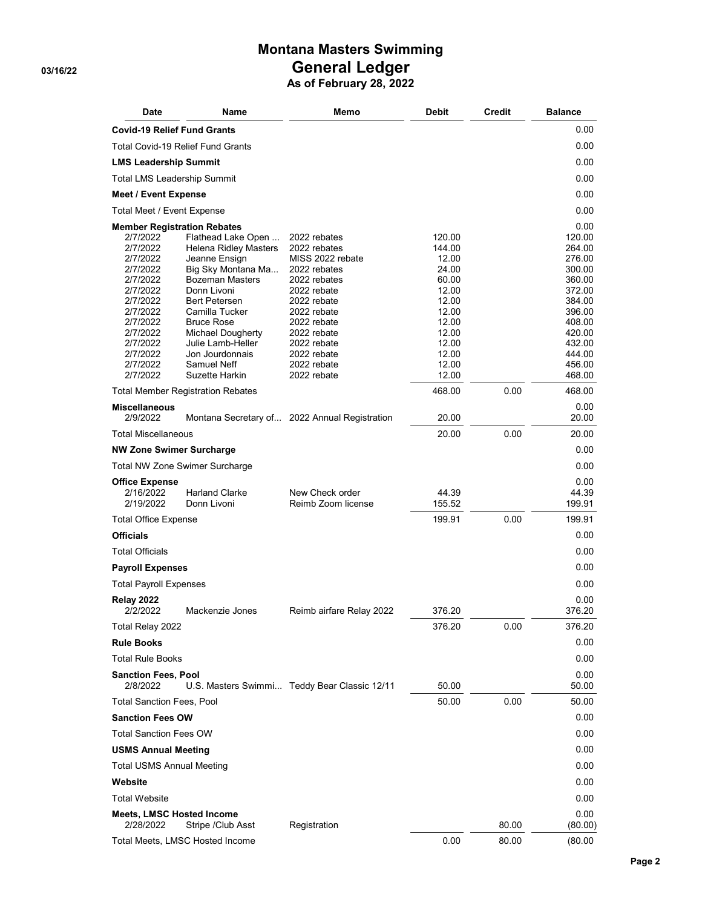## **Montana Masters Swimming** General Ledger<br>As of February 28, 2022

| <b>Date</b>                            | Name                                          | Memo                                          | <b>Debit</b>    | <b>Credit</b> | <b>Balance</b>   |
|----------------------------------------|-----------------------------------------------|-----------------------------------------------|-----------------|---------------|------------------|
| <b>Covid-19 Relief Fund Grants</b>     |                                               |                                               |                 |               | 0.00             |
|                                        | <b>Total Covid-19 Relief Fund Grants</b>      |                                               |                 |               | 0.00             |
| <b>LMS Leadership Summit</b>           |                                               |                                               |                 |               | 0.00             |
| <b>Total LMS Leadership Summit</b>     |                                               |                                               |                 |               | 0.00             |
| <b>Meet / Event Expense</b>            |                                               |                                               |                 |               | 0.00             |
| Total Meet / Event Expense             |                                               |                                               |                 |               | 0.00             |
| <b>Member Registration Rebates</b>     |                                               |                                               |                 |               | 0.00             |
| 2/7/2022                               | Flathead Lake Open                            | 2022 rebates                                  | 120.00          |               | 120.00           |
| 2/7/2022<br>2/7/2022                   | <b>Helena Ridley Masters</b><br>Jeanne Ensign | 2022 rebates<br>MISS 2022 rebate              | 144.00<br>12.00 |               | 264.00<br>276.00 |
| 2/7/2022                               | Big Sky Montana Ma                            | 2022 rebates                                  | 24.00           |               | 300.00           |
| 2/7/2022                               | <b>Bozeman Masters</b>                        | 2022 rebates                                  | 60.00           |               | 360.00           |
| 2/7/2022                               | Donn Livoni                                   | 2022 rebate                                   | 12.00           |               | 372.00           |
| 2/7/2022<br>2/7/2022                   | <b>Bert Petersen</b><br>Camilla Tucker        | 2022 rebate<br>2022 rebate                    | 12.00<br>12.00  |               | 384.00<br>396.00 |
| 2/7/2022                               | <b>Bruce Rose</b>                             | 2022 rebate                                   | 12.00           |               | 408.00           |
| 2/7/2022                               | Michael Dougherty                             | 2022 rebate                                   | 12.00           |               | 420.00           |
| 2/7/2022                               | Julie Lamb-Heller                             | 2022 rebate                                   | 12.00           |               | 432.00           |
| 2/7/2022                               | Jon Jourdonnais                               | 2022 rebate                                   | 12.00           |               | 444.00           |
| 2/7/2022<br>2/7/2022                   | Samuel Neff<br>Suzette Harkin                 | 2022 rebate<br>2022 rebate                    | 12.00<br>12.00  |               | 456.00<br>468.00 |
|                                        | <b>Total Member Registration Rebates</b>      |                                               | 468.00          | 0.00          | 468.00           |
| <b>Miscellaneous</b>                   |                                               |                                               |                 |               | 0.00             |
| 2/9/2022                               |                                               | Montana Secretary of 2022 Annual Registration | 20.00           |               | 20.00            |
| <b>Total Miscellaneous</b>             |                                               |                                               | 20.00           | 0.00          | 20.00            |
| <b>NW Zone Swimer Surcharge</b>        |                                               |                                               |                 |               | 0.00             |
|                                        | Total NW Zone Swimer Surcharge                |                                               |                 |               | 0.00             |
| <b>Office Expense</b>                  |                                               |                                               |                 |               | 0.00             |
| 2/16/2022<br>2/19/2022                 | <b>Harland Clarke</b><br>Donn Livoni          | New Check order<br>Reimb Zoom license         | 44.39<br>155.52 |               | 44.39<br>199.91  |
| <b>Total Office Expense</b>            |                                               |                                               | 199.91          | 0.00          | 199.91           |
| <b>Officials</b>                       |                                               |                                               |                 |               | 0.00             |
| <b>Total Officials</b>                 |                                               |                                               |                 |               | 0.00             |
| <b>Payroll Expenses</b>                |                                               |                                               |                 |               | 0.00             |
| <b>Total Payroll Expenses</b>          |                                               |                                               |                 |               | 0.00             |
| <b>Relay 2022</b><br>2/2/2022          | Mackenzie Jones                               | Reimb airfare Relay 2022                      | 376.20          |               | 0.00<br>376.20   |
| Total Relay 2022                       |                                               |                                               | 376.20          | 0.00          | 376.20           |
| <b>Rule Books</b>                      |                                               |                                               |                 |               | 0.00             |
| <b>Total Rule Books</b>                |                                               |                                               |                 |               | 0.00             |
| <b>Sanction Fees, Pool</b><br>2/8/2022 |                                               | U.S. Masters Swimmi Teddy Bear Classic 12/11  | 50.00           |               | 0.00<br>50.00    |
| <b>Total Sanction Fees, Pool</b>       |                                               |                                               | 50.00           | 0.00          | 50.00            |
| <b>Sanction Fees OW</b>                |                                               |                                               |                 |               | 0.00             |
| <b>Total Sanction Fees OW</b>          |                                               |                                               |                 |               | 0.00             |
| <b>USMS Annual Meeting</b>             |                                               |                                               |                 |               | 0.00             |
| <b>Total USMS Annual Meeting</b>       |                                               |                                               |                 |               | 0.00             |
| Website                                |                                               |                                               |                 |               | 0.00             |
| <b>Total Website</b>                   |                                               |                                               |                 |               | 0.00             |
| <b>Meets, LMSC Hosted Income</b>       |                                               |                                               |                 |               | 0.00             |
| 2/28/2022                              | Stripe / Club Asst                            | Registration                                  |                 | 80.00         | (80.00)          |
|                                        | Total Meets, LMSC Hosted Income               |                                               | 0.00            | 80.00         | (80.00)          |